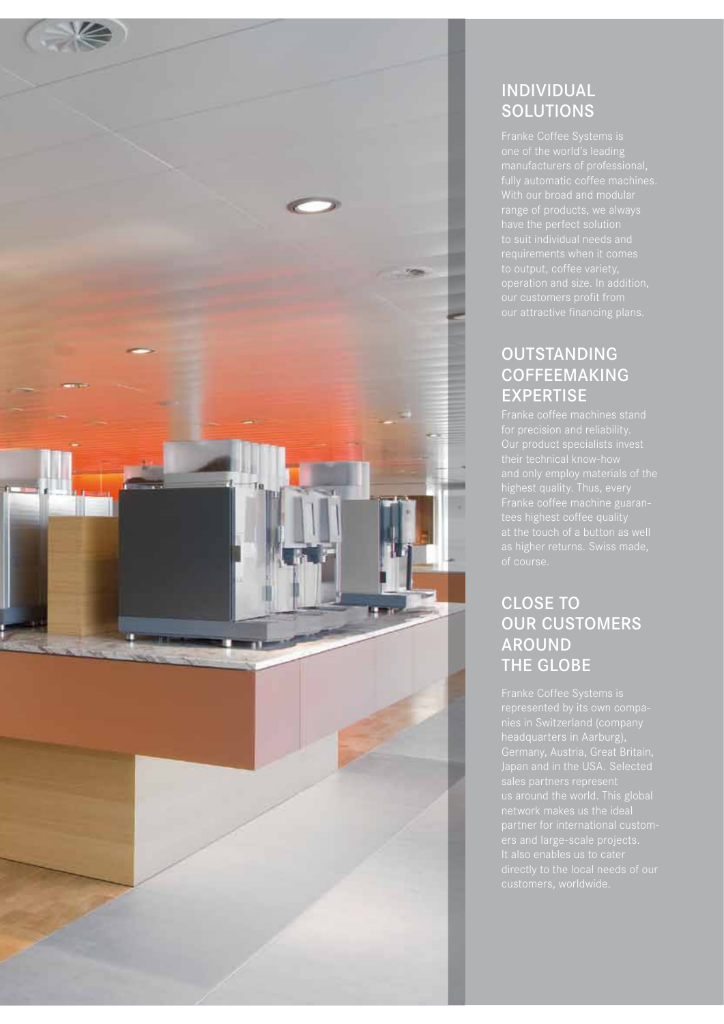

### INDIVIDUAL **SOLUTIONS**

### **OUTSTANDING** coffeemak ing expert ise

### Close to our customers around the globe

us around the world. This global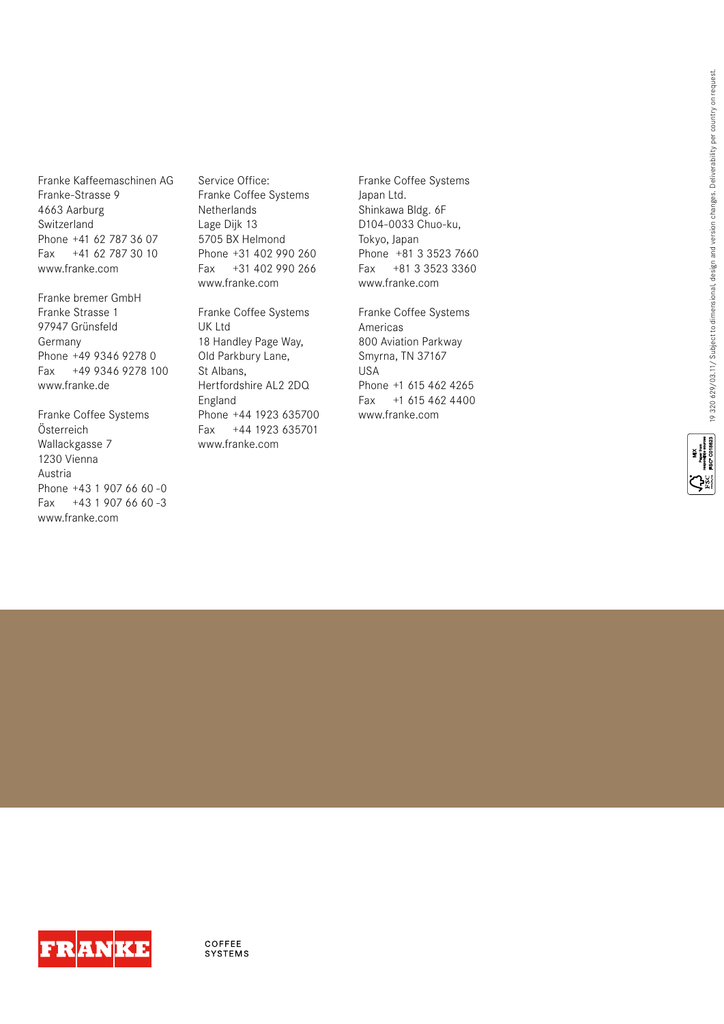Franke Kaffeemaschinen AG Franke-Strasse 9 4663 Aarburg Switzerland Phone +41 62 787 36 07 Fax +41 62 787 30 10 www.franke.com

Franke bremer GmbH Franke Strasse 1 97947 Grünsfeld Germany Phone +49 9346 9278 0 Fax +49 9346 9278 100 www.franke.de

Franke Coffee Systems Österreich Wallackgasse 7 1230 Vienna Austria Phone +43 1 907 66 60 -0 Fax  $+43$  1 907 66 60 -3 www.franke.com

Service Office: Franke Coffee Systems Netherlands Lage Dijk 13 5705 BX Helmond Phone +31 402 990 260 Fax +31 402 990 266 www.franke.com

Franke Coffee Systems UK Ltd 18 Handley Page Way, Old Parkbury Lane, St Albans, Hertfordshire AL2 2DQ England Phone +44 1923 635700 Fax +44 1923 635701 www.franke.com

Franke Coffee Systems Japan Ltd. Shinkawa Bldg. 6F D104-0033 Chuo-ku, Tokyo, Japan Phone +81 3 3523 7660 Fax +81 3 3523 3360 www.franke.com

Franke Coffee Systems Americas 800 Aviation Parkway Smyrna, TN 37167 USA Phone +1 615 462 4265 Fax +1 615 462 4400 www.franke.com



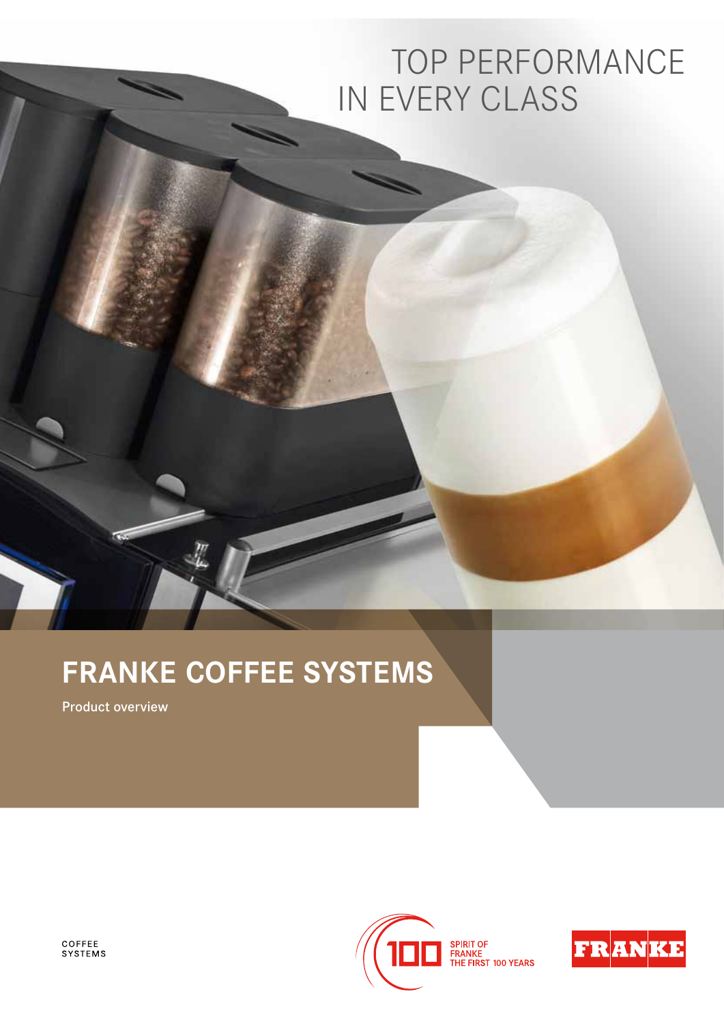# Top performance in every class

# **Franke Coffee Systems**

Product overview



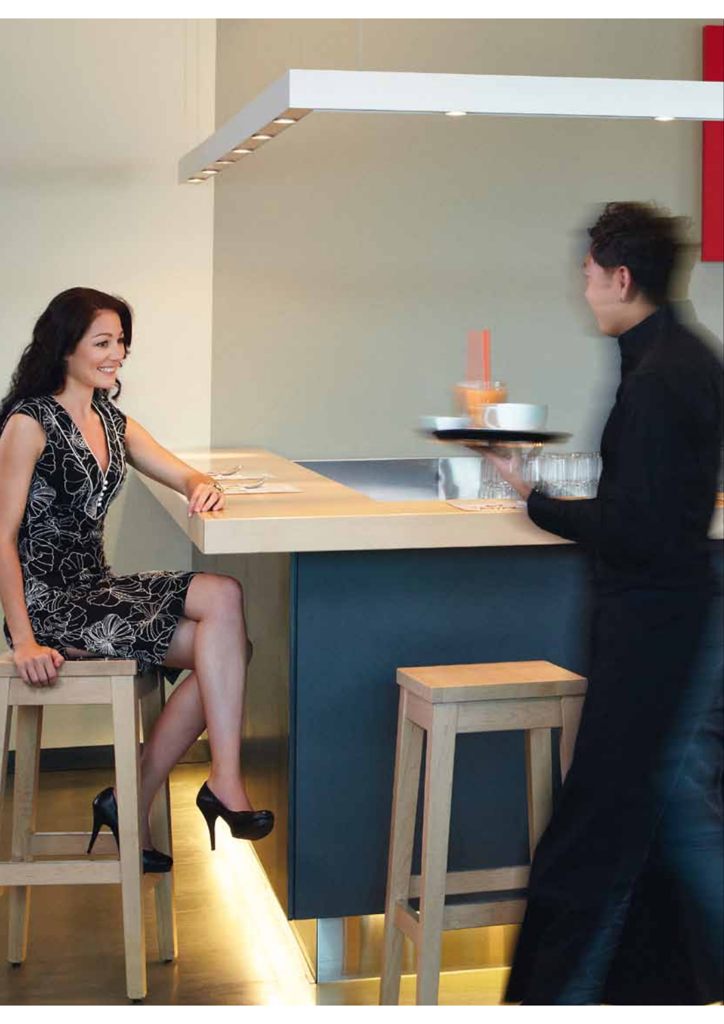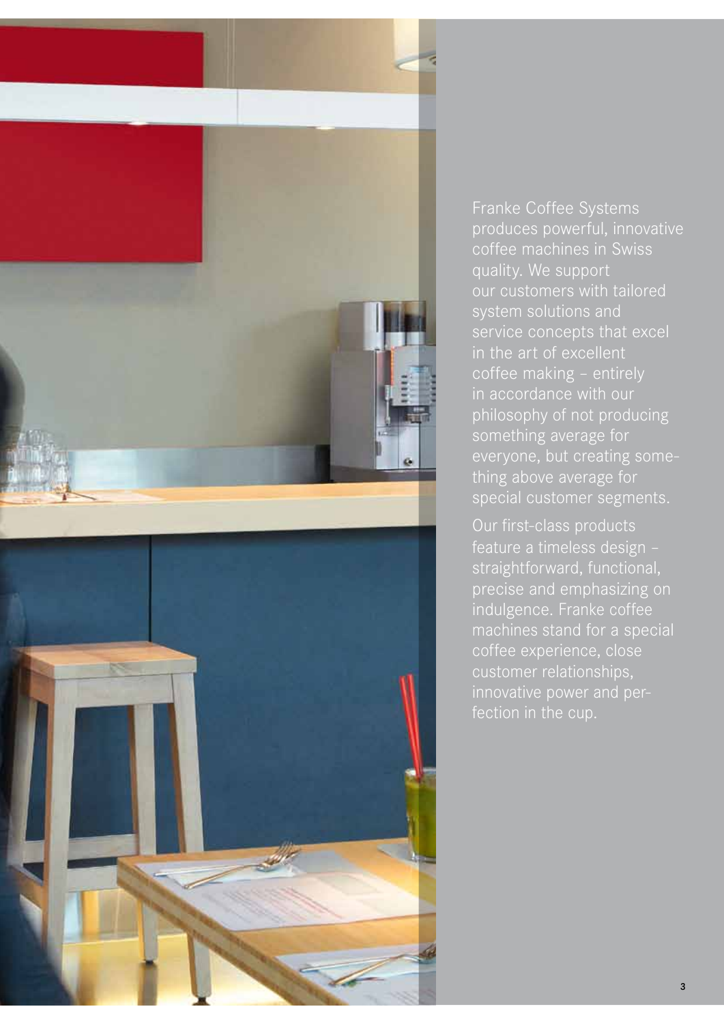

Franke Coffee Systems produces powerful, innovative coffee machines in Swiss quality. We support our customers with tailored system solutions and service concepts that excel coffee making – entirely in accordance with our philosophy of not producing something average for everyone, but creating something above average for special customer segments.

Our first-class products feature a timeless design – straightforward, functional, precise and emphasizing on indulgence. Franke coffee machines stand for a special coffee experience, close customer relationships, innovative power and per-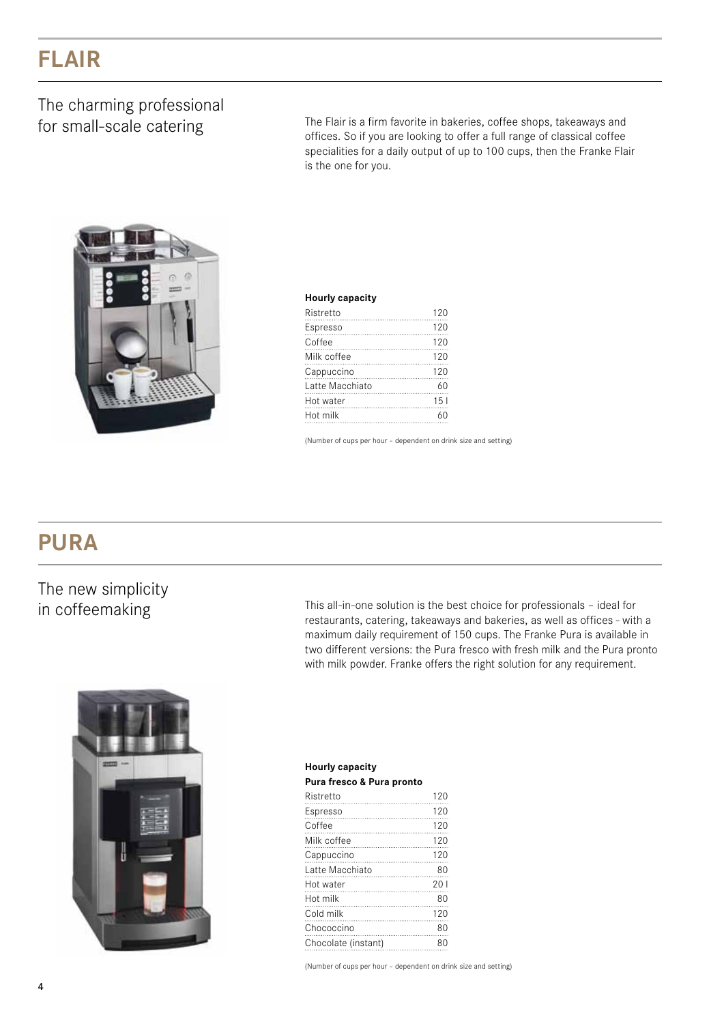# **FLAIR**

### The charming professional for small-scale catering

The Flair is a firm favorite in bakeries, coffee shops, takeaways and offices. So if you are looking to offer a full range of classical coffee specialities for a daily output of up to 100 cups, then the Franke Flair is the one for you.



#### **Hourly capacity**

| Ristretto       | 120 |
|-----------------|-----|
| Espresso        | 120 |
| Coffee          | 120 |
| Milk coffee     | 120 |
| Cappuccino      | 120 |
| Latte Macchiato |     |
| Hot water       | 15  |
| Hot milk        |     |

(Number of cups per hour – dependent on drink size and setting)

### **Pura**

The new simplicity in coffeemaking

This all-in-one solution is the best choice for professionals – ideal for restaurants, catering, takeaways and bakeries, as well as offices - with a maximum daily requirement of 150 cups. The Franke Pura is available in two different versions: the Pura fresco with fresh milk and the Pura pronto with milk powder. Franke offers the right solution for any requirement.



#### **Hourly capacity Pura fresco & Pura pronto**

| Ristretto           | 120  |
|---------------------|------|
| Espresso            | 120  |
| Coffee              | 120  |
| Milk coffee         | 120  |
| Cappuccino          | 120  |
| Latte Macchiato     | 80   |
| Hot water           | 20 I |
| Hot milk            | 80   |
| Cold milk           | 120  |
| Chococcino          | 80   |
| Chocolate (instant) | 80   |
|                     |      |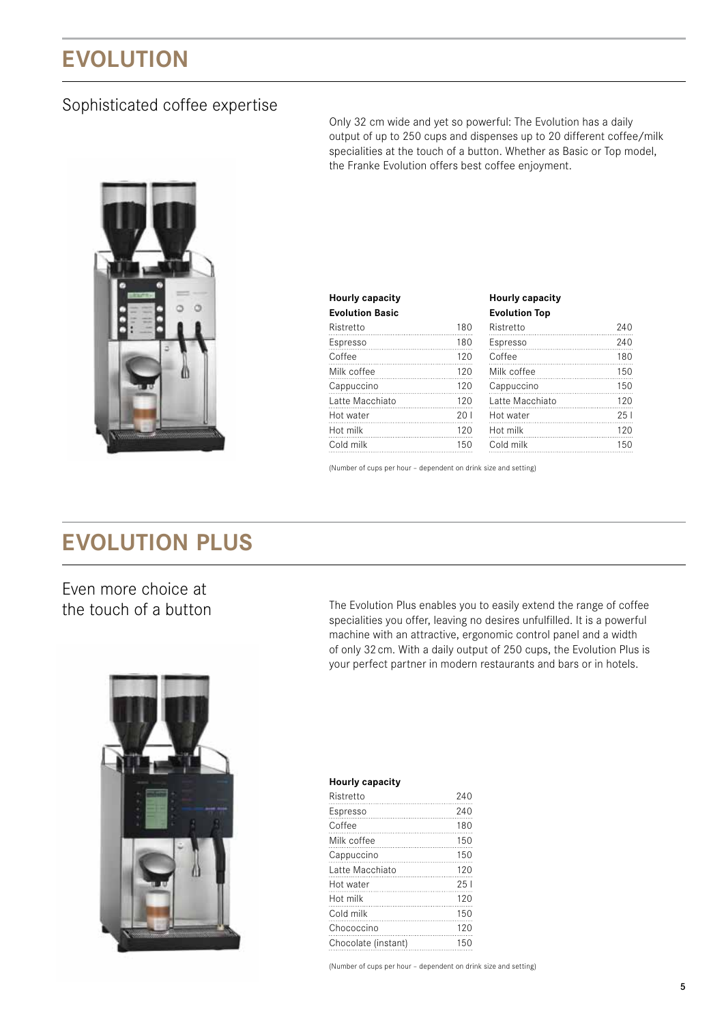# **Evolution**

### Sophisticated coffee expertise

Only 32 cm wide and yet so powerful: The Evolution has a daily output of up to 250 cups and dispenses up to 20 different coffee/milk specialities at the touch of a button. Whether as Basic or Top model, the Franke Evolution offers best coffee enjoyment.



| <b>Hourly capacity</b> |  |
|------------------------|--|
| <b>Evolution Basic</b> |  |

Ristretto 180 Espresso 180 Coffee 120 Milk coffee 120 Cappuccino 120 Latte Macchiato 120 Hot water 20 l Hot milk 120 Cold milk 150

#### **Hourly capacity**

| <b>Evolution Top</b> |     |
|----------------------|-----|
| Ristretto            | 24  |
| Espresso             | 240 |
| Coffee               | 180 |
| Milk coffee          |     |
| Cappuccino           | 150 |
| Latte Macchiato      | 120 |
| Hot water            | 251 |
| Hot milk             |     |
| Cold milk            |     |

(Number of cups per hour – dependent on drink size and setting)

# **Evolution Plus**

Even more choice at the touch of a button





#### **Hourly capacity**

| Ristretto           | 240  |
|---------------------|------|
| Espresso            | 240  |
| Coffee              | 180  |
| Milk coffee         | 150  |
| Cappuccino          | 150  |
| Latte Macchiato     | 120  |
| Hot water           | 25 I |
| Hot milk            | 120  |
| Cold milk           | 150  |
| Chococcino          | 120  |
| Chocolate (instant) | 50   |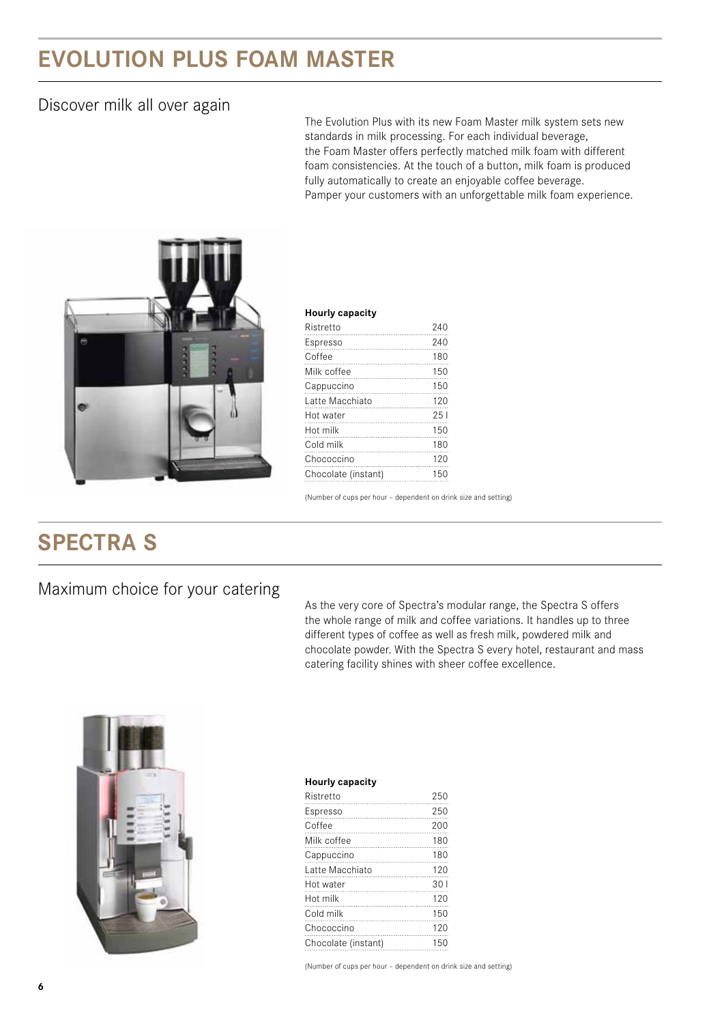# **evolution plus foam master**

### Discover milk all over again

The Evolution Plus with its new Foam Master milk system sets new standards in milk processing. For each individual beverage, the Foam Master offers perfectly matched milk foam with different foam consistencies. At the touch of a button, milk foam is produced fully automatically to create an enjoyable coffee beverage. Pamper your customers with an unforgettable milk foam experience.



#### **Hourly capacity**

| Ristretto           | 240  |
|---------------------|------|
| Espresso            | 240  |
| Coffee              | 180  |
| Milk coffee         | 150  |
| Cappuccino          | 150  |
| Latte Macchiato     | 120  |
| Hot water           | 25 I |
| Hot milk            | 150  |
| Cold milk           | 180  |
| Chococcino          | 120  |
| Chocolate (instant) | 150  |
|                     |      |

(Number of cups per hour – dependent on drink size and setting)

# **Spectra S**

### Maximum choice for your catering

As the very core of Spectra's modular range, the Spectra S offers the whole range of milk and coffee variations. It handles up to three different types of coffee as well as fresh milk, powdered milk and chocolate powder. With the Spectra S every hotel, restaurant and mass catering facility shines with sheer coffee excellence.



#### **Hourly capacity**

| Ristretto           | 250  |
|---------------------|------|
| Espresso            | 250  |
| Coffee              | 200  |
| Milk coffee         | 180  |
| Cappuccino          | 180  |
| Latte Macchiato     | 120  |
| Hot water           | 30 I |
| Hot milk            | 120  |
| Cold milk           | 150  |
| Chococcino          | 120  |
| Chocolate (instant) | 150  |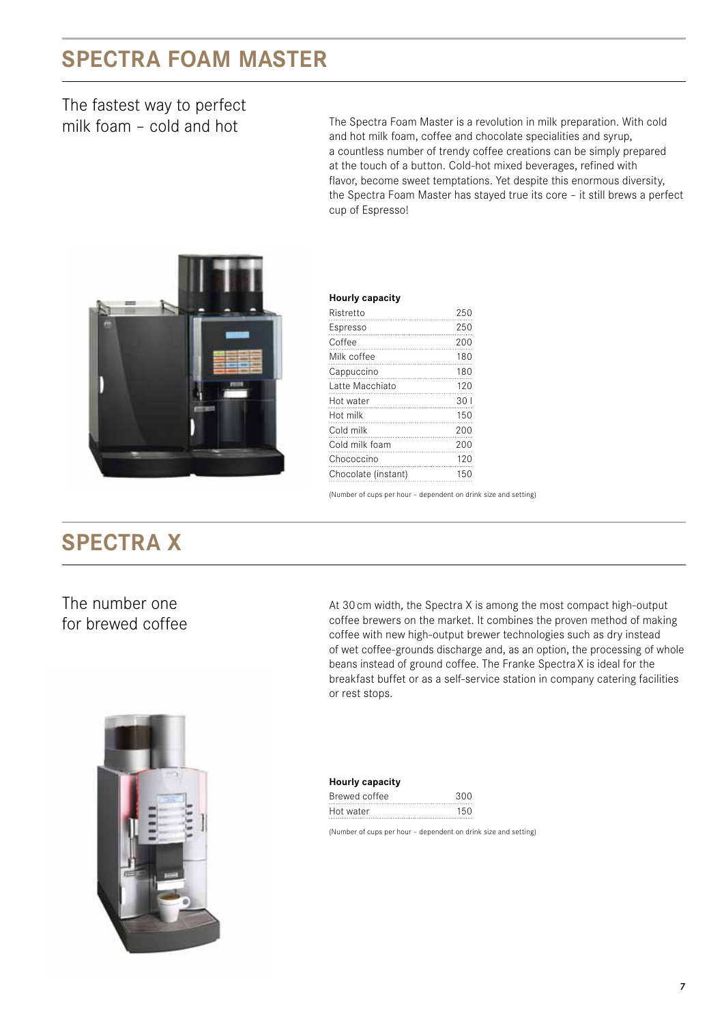# **Spectra foam master**

### The fastest way to perfect milk foam – cold and hot

The Spectra Foam Master is a revolution in milk preparation. With cold and hot milk foam, coffee and chocolate specialities and syrup, a countless number of trendy coffee creations can be simply prepared at the touch of a button. Cold-hot mixed beverages, refined with flavor, become sweet temptations. Yet despite this enormous diversity, the Spectra Foam Master has stayed true its core – it still brews a perfect cup of Espresso!



#### **Hourly capacity**

| Ristretto               | 250 |
|-------------------------|-----|
| Espresso                | 250 |
| Coffee                  | 200 |
| Milk coffee             | 180 |
| Cappuccino              | 180 |
| Latte Macchiato         | 120 |
| Hot water               | 301 |
| Hot milk                | 150 |
| Cold milk               | 200 |
| Cold milk foam          | 200 |
| Chococcino              | 120 |
| Chocolate (instant)<br> | 150 |

(Number of cups per hour – dependent on drink size and setting)

# **Spectra X**

### The number one for brewed coffee



At 30cm width, the Spectra X is among the most compact high-output coffee brewers on the market. It combines the proven method of making coffee with new high-output brewer technologies such as dry instead of wet coffee-grounds discharge and, as an option, the processing of whole beans instead of ground coffee. The Franke SpectraX is ideal for the breakfast buffet or as a self-service station in company catering facilities or rest stops.

| <b>Hourly capacity</b> |      |
|------------------------|------|
| Brewed coffee          | 300. |
| Hot water              | 150  |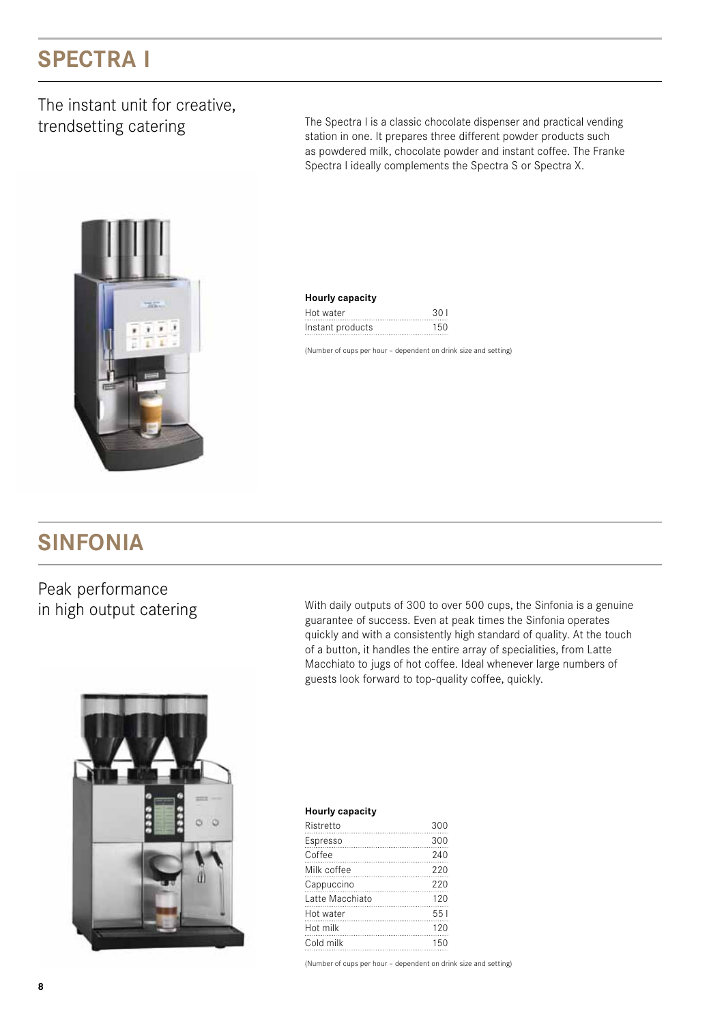# **Spectra I**

### The instant unit for creative, trendsetting catering

The Spectra I is a classic chocolate dispenser and practical vending station in one. It prepares three different powder products such as powdered milk, chocolate powder and instant coffee. The Franke Spectra I ideally complements the Spectra S or Spectra X.



| Hourly capacity  |      |
|------------------|------|
| Hot water        | 30 I |
| Instant products | 150  |

(Number of cups per hour – dependent on drink size and setting)

## **Sinfonia**

Peak performance in high output catering

With daily outputs of 300 to over 500 cups, the Sinfonia is a genuine guarantee of success. Even at peak times the Sinfonia operates quickly and with a consistently high standard of quality. At the touch of a button, it handles the entire array of specialities, from Latte Macchiato to jugs of hot coffee. Ideal whenever large numbers of guests look forward to top-quality coffee, quickly.



#### **Hourly capacity**

| Ristretto       | 30  |
|-----------------|-----|
| Espresso        | 300 |
| Coffee          | 240 |
| Milk coffee     | 220 |
| Cappuccino      | 220 |
| Latte Macchiato | 120 |
| Hot water       | 551 |
| Hot milk        | 120 |
| Cold milk       | 15  |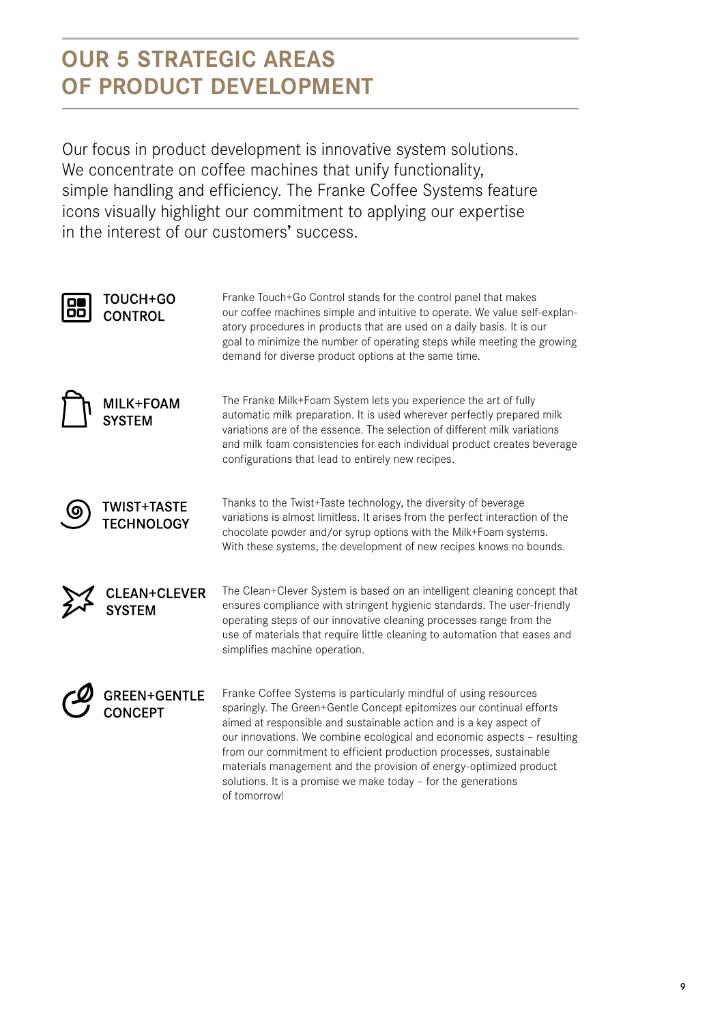# **Our 5 Strategic AREAS OF PRODUCT DEVELOPMENT**

Our focus in product development is innovative system solutions. We concentrate on coffee machines that unify functionality, simple handling and efficiency. The Franke Coffee Systems feature icons visually highlight our commitment to applying our expertise in the interest of our customers**'** success.

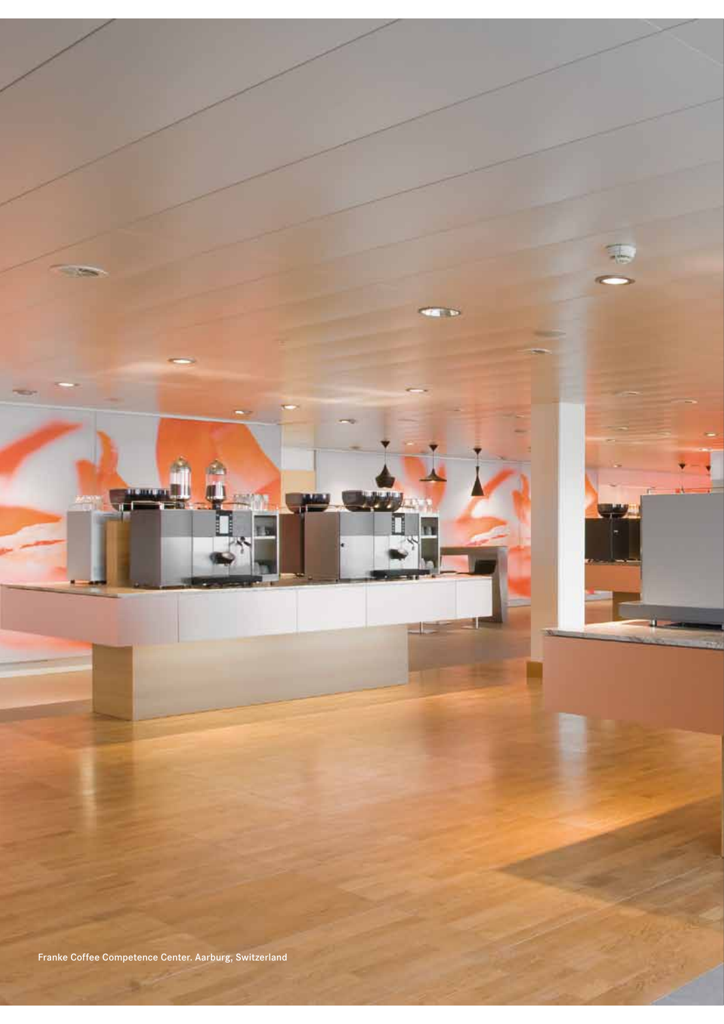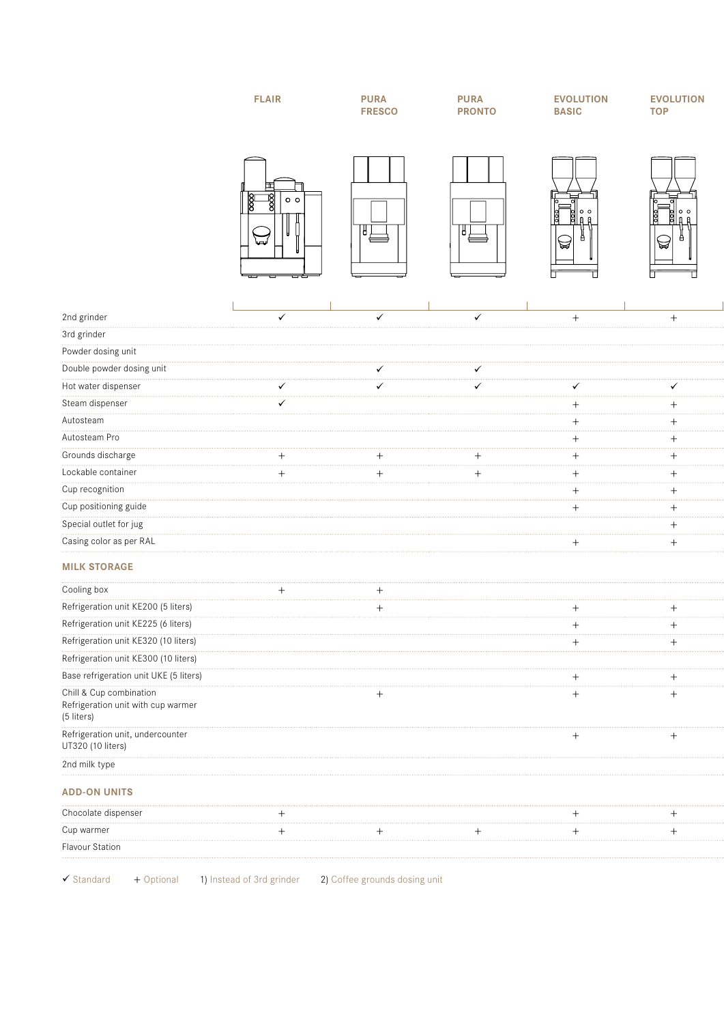





 $\mathbb{F}_4$ 





Flavour Station + + + +



| 2nd grinder                                                   | $\checkmark$ | $\checkmark$ | $\checkmark$ | $+$          |       |
|---------------------------------------------------------------|--------------|--------------|--------------|--------------|-------|
| 3rd grinder                                                   |              |              |              |              |       |
| Powder dosing unit                                            |              |              |              |              |       |
| Double powder dosing unit                                     |              | $\checkmark$ | $\checkmark$ |              |       |
| Hot water dispenser                                           | $\checkmark$ | $\checkmark$ | $\checkmark$ | $\checkmark$ |       |
| Steam dispenser                                               | $\checkmark$ |              |              | $+$          |       |
| Autosteam                                                     |              |              |              | $+$          |       |
| Autosteam Pro                                                 |              |              |              | $+$          |       |
| Grounds discharge                                             | $+$          | $+$          | $+$          | $+$          |       |
| Lockable container                                            | $+$          | $+$          | $+$          | $+$          |       |
| Cup recognition                                               |              |              |              | $+$          |       |
| Cup positioning guide                                         |              |              |              | $^{+}$       |       |
| Special outlet for jug                                        |              |              |              |              |       |
| Casing color as per RAL                                       |              |              |              | $+$          |       |
| <b>MILK STORAGE</b>                                           |              |              |              |              |       |
| Cooling box                                                   | $+$          |              |              |              |       |
| Refrigeration unit KE200 (5 liters)                           |              | $+$<br>$+$   |              | $+$          |       |
| Refrigeration unit KE225 (6 liters)                           |              |              |              |              |       |
| Refrigeration unit KE320 (10 liters)                          |              |              |              | $^{+}$       |       |
| Refrigeration unit KE300 (10 liters)                          |              |              |              | $+$          |       |
|                                                               |              |              |              |              |       |
| Base refrigeration unit UKE (5 liters)                        |              |              |              | $+$          |       |
| Chill & Cup combination<br>Refrigeration unit with cup warmer |              | $+$          |              | $^{+}$       |       |
| (5 liters)                                                    |              |              |              |              |       |
| Refrigeration unit, undercounter                              |              |              |              | $+$          |       |
| UT320 (10 liters)                                             |              |              |              |              |       |
| 2nd milk type                                                 |              |              |              |              |       |
| <b>ADD-ON UNITS</b>                                           |              |              |              |              |       |
| Chocolate dispenser                                           | $+$          |              |              | $+$          | $+$   |
| Cup warmer                                                    | $\pm$        | $+$          | $\pm$        | $+$          | $\pm$ |
|                                                               |              |              |              |              |       |

 $\checkmark$  Standard  $+$  Optional 1) Instead of 3rd grinder 2) Coffee grounds dosing unit